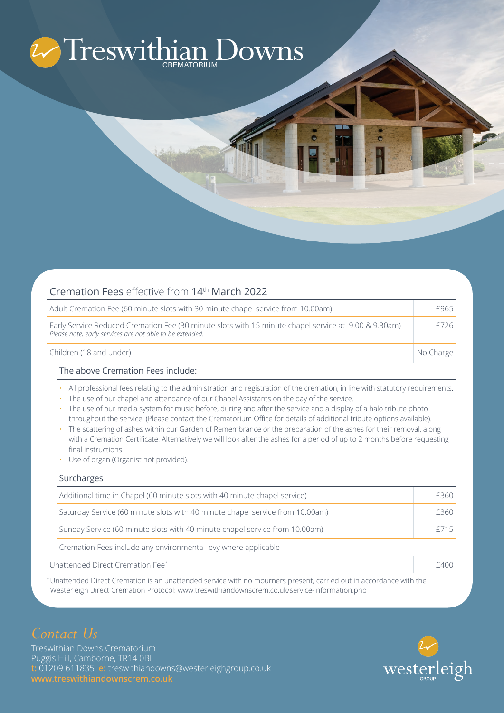# Treswithian Downs

| Cremation Fees effective from 14 <sup>th</sup> March 2022                                                                                                        |           |
|------------------------------------------------------------------------------------------------------------------------------------------------------------------|-----------|
| Adult Cremation Fee (60 minute slots with 30 minute chapel service from 10.00am)                                                                                 | £965      |
| Early Service Reduced Cremation Fee (30 minute slots with 15 minute chapel service at 9.00 & 9.30am)<br>Please note, early services are not able to be extended. | £726      |
| Children (18 and under)                                                                                                                                          | No Charge |

#### The above Cremation Fees include:

- All professional fees relating to the administration and registration of the cremation, in line with statutory requirements.
- The use of our chapel and attendance of our Chapel Assistants on the day of the service.
- The use of our media system for music before, during and after the service and a display of a halo tribute photo throughout the service. (Please contact the Crematorium Office for details of additional tribute options available).
- The scattering of ashes within our Garden of Remembrance or the preparation of the ashes for their removal, along with a Cremation Certificate. Alternatively we will look after the ashes for a period of up to 2 months before requesting final instructions.
- Use of organ (Organist not provided).

#### Surcharges

| Additional time in Chapel (60 minute slots with 40 minute chapel service)     |         |
|-------------------------------------------------------------------------------|---------|
| Saturday Service (60 minute slots with 40 minute chapel service from 10.00am) | F360    |
| Sunday Service (60 minute slots with 40 minute chapel service from 10.00am)   | $+$ /15 |
| Cremation Fees include any environmental levy where applicable                |         |
| Unattended Direct Cremation Fee*                                              |         |

\* Unattended Direct Cremation is an unattended service with no mourners present, carried out in accordance with the Westerleigh Direct Cremation Protocol: www.treswithiandownscrem.co.uk/service-information.php

## *Contact Us*

Treswithian Downs Crematorium Puggis Hill, Camborne, TR14 0BL **t:** 01209 611835 **e:** treswithiandowns@westerleighgroup.co.uk